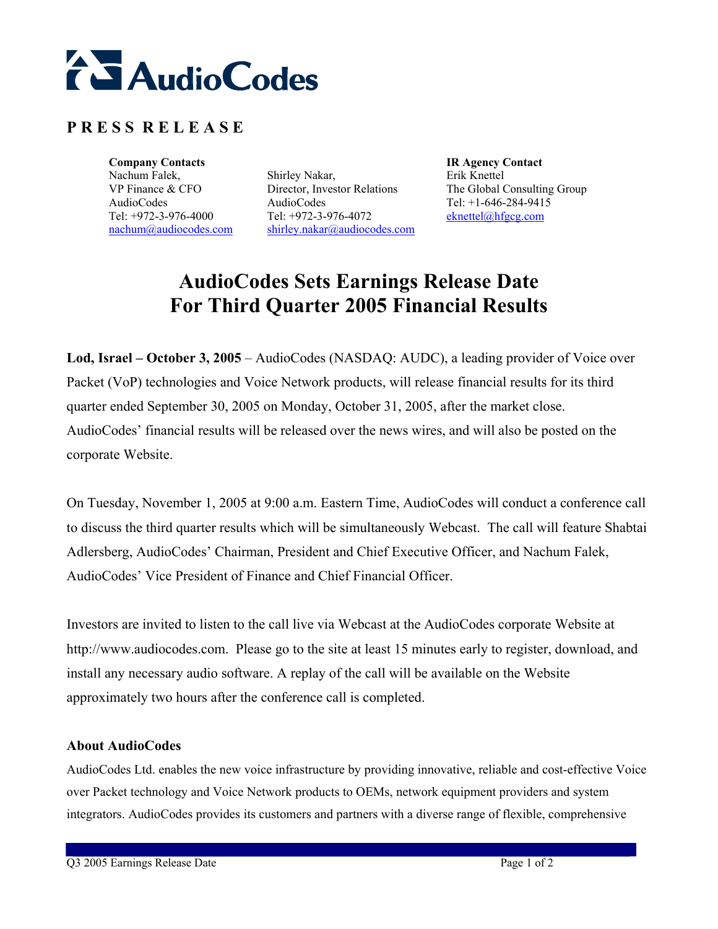

## **P R E S S R E L E A S E**

**Company Contacts Company Contacts IR Agency Contact** Nachum Falek, VP Finance & CFO AudioCodes Tel: +972-3-976-4000 nachum@audiocodes.com

Shirley Nakar, Director, Investor Relations AudioCodes Tel: +972-3-976-4072 shirley.nakar@audiocodes.com

Erik Knettel The Global Consulting Group Tel: +1-646-284-9415 eknettel@hfgcg.com

## **AudioCodes Sets Earnings Release Date For Third Quarter 2005 Financial Results**

**Lod, Israel – October 3, 2005** – AudioCodes (NASDAQ: AUDC), a leading provider of Voice over Packet (VoP) technologies and Voice Network products, will release financial results for its third quarter ended September 30, 2005 on Monday, October 31, 2005, after the market close. AudioCodes' financial results will be released over the news wires, and will also be posted on the corporate Website.

On Tuesday, November 1, 2005 at 9:00 a.m. Eastern Time, AudioCodes will conduct a conference call to discuss the third quarter results which will be simultaneously Webcast. The call will feature Shabtai Adlersberg, AudioCodes' Chairman, President and Chief Executive Officer, and Nachum Falek, AudioCodes' Vice President of Finance and Chief Financial Officer.

Investors are invited to listen to the call live via Webcast at the AudioCodes corporate Website at http://www.audiocodes.com. Please go to the site at least 15 minutes early to register, download, and install any necessary audio software. A replay of the call will be available on the Website approximately two hours after the conference call is completed.

## **About AudioCodes**

AudioCodes Ltd. enables the new voice infrastructure by providing innovative, reliable and cost-effective Voice over Packet technology and Voice Network products to OEMs, network equipment providers and system integrators. AudioCodes provides its customers and partners with a diverse range of flexible, comprehensive